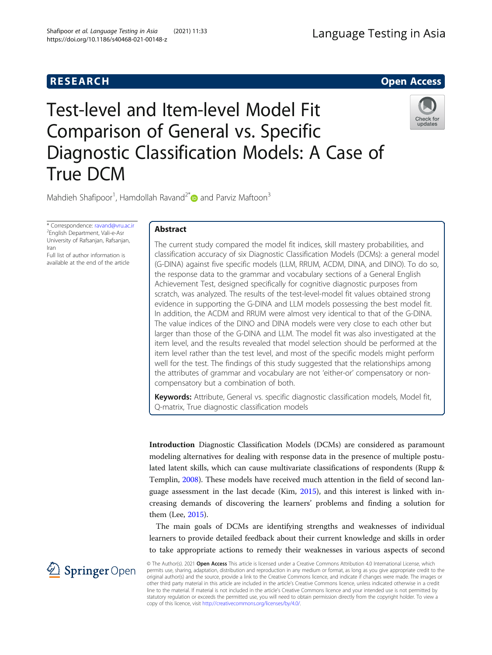# **RESEARCH RESEARCH CONSUMING ACCESS**

# Test-level and Item-level Model Fit Comparison of General vs. Specific Diagnostic Classification Models: A Case of True DCM



Mahdieh Shafipoor<sup>1</sup>, Hamdollah Ravand<sup>2\*</sup> and Parviz Maftoon<sup>3</sup>

\* Correspondence: [ravand@vru.ac.ir](mailto:ravand@vru.ac.ir) <sup>2</sup> <sup>2</sup>English Department, Vali-e-Asr University of Rafsanjan, Rafsanjan, Iran Full list of author information is

available at the end of the article

# Abstract

The current study compared the model fit indices, skill mastery probabilities, and classification accuracy of six Diagnostic Classification Models (DCMs): a general model (G-DINA) against five specific models (LLM, RRUM, ACDM, DINA, and DINO). To do so, the response data to the grammar and vocabulary sections of a General English Achievement Test, designed specifically for cognitive diagnostic purposes from scratch, was analyzed. The results of the test-level-model fit values obtained strong evidence in supporting the G-DINA and LLM models possessing the best model fit. In addition, the ACDM and RRUM were almost very identical to that of the G-DINA. The value indices of the DINO and DINA models were very close to each other but larger than those of the G-DINA and LLM. The model fit was also investigated at the item level, and the results revealed that model selection should be performed at the item level rather than the test level, and most of the specific models might perform well for the test. The findings of this study suggested that the relationships among the attributes of grammar and vocabulary are not 'either-or' compensatory or noncompensatory but a combination of both.

Keywords: Attribute, General vs. specific diagnostic classification models, Model fit, Q-matrix, True diagnostic classification models

Introduction Diagnostic Classification Models (DCMs) are considered as paramount modeling alternatives for dealing with response data in the presence of multiple postulated latent skills, which can cause multivariate classifications of respondents (Rupp & Templin, [2008](#page-19-0)). These models have received much attention in the field of second language assessment in the last decade (Kim, [2015](#page-18-0)), and this interest is linked with increasing demands of discovering the learners' problems and finding a solution for them (Lee, [2015\)](#page-18-0).

The main goals of DCMs are identifying strengths and weaknesses of individual learners to provide detailed feedback about their current knowledge and skills in order to take appropriate actions to remedy their weaknesses in various aspects of second

2 Springer Open

© The Author(s). 2021 Open Access This article is licensed under a Creative Commons Attribution 4.0 International License, which permits use, sharing, adaptation, distribution and reproduction in any medium or format, as long as you give appropriate credit to the original author(s) and the source, provide a link to the Creative Commons licence, and indicate if changes were made. The images or other third party material in this article are included in the article's Creative Commons licence, unless indicated otherwise in a credit line to the material. If material is not included in the article's Creative Commons licence and your intended use is not permitted by statutory regulation or exceeds the permitted use, you will need to obtain permission directly from the copyright holder. To view a copy of this licence, visit <http://creativecommons.org/licenses/by/4.0/>.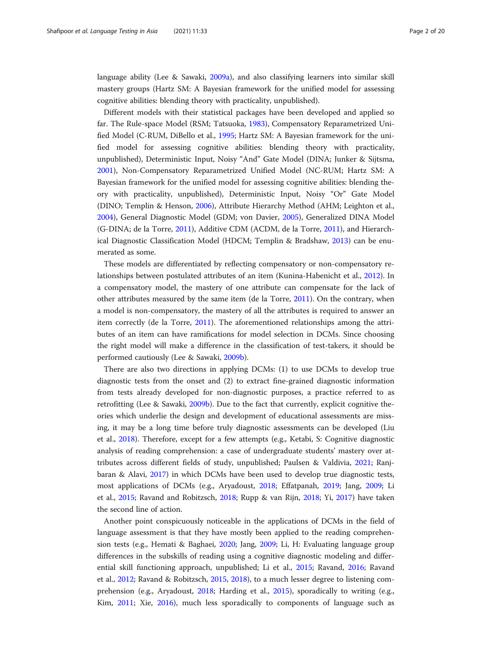language ability (Lee & Sawaki, [2009a](#page-18-0)), and also classifying learners into similar skill mastery groups (Hartz SM: A Bayesian framework for the unified model for assessing cognitive abilities: blending theory with practicality, unpublished).

Different models with their statistical packages have been developed and applied so far. The Rule-space Model (RSM; Tatsuoka, [1983\)](#page-19-0), Compensatory Reparametrized Unified Model (C-RUM, DiBello et al., [1995;](#page-17-0) Hartz SM: A Bayesian framework for the unified model for assessing cognitive abilities: blending theory with practicality, unpublished), Deterministic Input, Noisy "And" Gate Model (DINA; Junker & Sijtsma, [2001](#page-18-0)), Non-Compensatory Reparametrized Unified Model (NC-RUM; Hartz SM: A Bayesian framework for the unified model for assessing cognitive abilities: blending theory with practicality, unpublished), Deterministic Input, Noisy "Or" Gate Model (DINO; Templin & Henson, [2006](#page-19-0)), Attribute Hierarchy Method (AHM; Leighton et al., [2004](#page-18-0)), General Diagnostic Model (GDM; von Davier, [2005\)](#page-19-0), Generalized DINA Model (G-DINA; de la Torre, [2011\)](#page-17-0), Additive CDM (ACDM, de la Torre, [2011\)](#page-17-0), and Hierarchical Diagnostic Classification Model (HDCM; Templin & Bradshaw, [2013\)](#page-19-0) can be enumerated as some.

These models are differentiated by reflecting compensatory or non-compensatory relationships between postulated attributes of an item (Kunina-Habenicht et al., [2012\)](#page-18-0). In a compensatory model, the mastery of one attribute can compensate for the lack of other attributes measured by the same item (de la Torre, [2011](#page-17-0)). On the contrary, when a model is non-compensatory, the mastery of all the attributes is required to answer an item correctly (de la Torre, [2011\)](#page-17-0). The aforementioned relationships among the attributes of an item can have ramifications for model selection in DCMs. Since choosing the right model will make a difference in the classification of test-takers, it should be performed cautiously (Lee & Sawaki, [2009b\)](#page-18-0).

There are also two directions in applying DCMs: (1) to use DCMs to develop true diagnostic tests from the onset and (2) to extract fine-grained diagnostic information from tests already developed for non-diagnostic purposes, a practice referred to as retrofitting (Lee & Sawaki, [2009b\)](#page-18-0). Due to the fact that currently, explicit cognitive theories which underlie the design and development of educational assessments are missing, it may be a long time before truly diagnostic assessments can be developed (Liu et al., [2018](#page-18-0)). Therefore, except for a few attempts (e.g., Ketabi, S: Cognitive diagnostic analysis of reading comprehension: a case of undergraduate students' mastery over attributes across different fields of study, unpublished; Paulsen & Valdivia, [2021](#page-18-0); Ranjbaran & Alavi, [2017](#page-18-0)) in which DCMs have been used to develop true diagnostic tests, most applications of DCMs (e.g., Aryadoust, [2018;](#page-17-0) Effatpanah, [2019](#page-17-0); Jang, [2009](#page-18-0); Li et al., [2015](#page-18-0); Ravand and Robitzsch, [2018;](#page-19-0) Rupp & van Rijn, [2018;](#page-19-0) Yi, [2017\)](#page-19-0) have taken the second line of action.

Another point conspicuously noticeable in the applications of DCMs in the field of language assessment is that they have mostly been applied to the reading comprehension tests (e.g., Hemati & Baghaei, [2020](#page-18-0); Jang, [2009](#page-18-0); Li, H: Evaluating language group differences in the subskills of reading using a cognitive diagnostic modeling and differential skill functioning approach, unpublished; Li et al., [2015](#page-18-0); Ravand, [2016](#page-18-0); Ravand et al., [2012;](#page-19-0) Ravand & Robitzsch, [2015,](#page-19-0) [2018](#page-19-0)), to a much lesser degree to listening comprehension (e.g., Aryadoust, [2018;](#page-17-0) Harding et al., [2015](#page-18-0)), sporadically to writing (e.g., Kim, [2011;](#page-18-0) Xie, [2016\)](#page-19-0), much less sporadically to components of language such as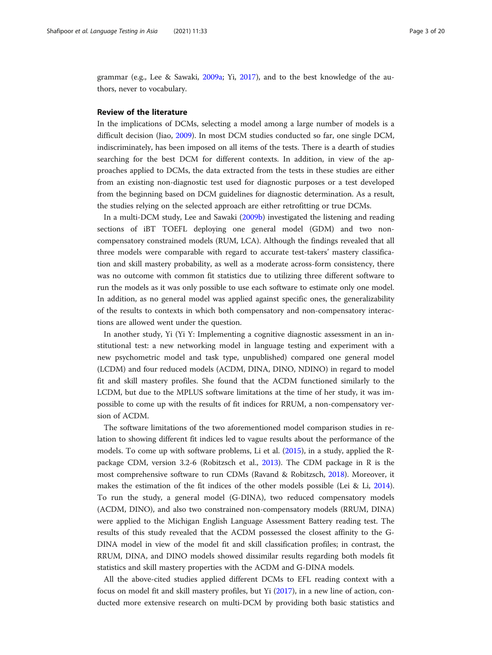grammar (e.g., Lee & Sawaki, [2009a](#page-18-0); Yi, [2017\)](#page-19-0), and to the best knowledge of the authors, never to vocabulary.

# Review of the literature

In the implications of DCMs, selecting a model among a large number of models is a difficult decision (Jiao, [2009](#page-18-0)). In most DCM studies conducted so far, one single DCM, indiscriminately, has been imposed on all items of the tests. There is a dearth of studies searching for the best DCM for different contexts. In addition, in view of the approaches applied to DCMs, the data extracted from the tests in these studies are either from an existing non-diagnostic test used for diagnostic purposes or a test developed from the beginning based on DCM guidelines for diagnostic determination. As a result, the studies relying on the selected approach are either retrofitting or true DCMs.

In a multi-DCM study, Lee and Sawaki [\(2009b\)](#page-18-0) investigated the listening and reading sections of iBT TOEFL deploying one general model (GDM) and two noncompensatory constrained models (RUM, LCA). Although the findings revealed that all three models were comparable with regard to accurate test-takers' mastery classification and skill mastery probability, as well as a moderate across-form consistency, there was no outcome with common fit statistics due to utilizing three different software to run the models as it was only possible to use each software to estimate only one model. In addition, as no general model was applied against specific ones, the generalizability of the results to contexts in which both compensatory and non-compensatory interactions are allowed went under the question.

In another study, Yi (Yi Y: Implementing a cognitive diagnostic assessment in an institutional test: a new networking model in language testing and experiment with a new psychometric model and task type, unpublished) compared one general model (LCDM) and four reduced models (ACDM, DINA, DINO, NDINO) in regard to model fit and skill mastery profiles. She found that the ACDM functioned similarly to the LCDM, but due to the MPLUS software limitations at the time of her study, it was impossible to come up with the results of fit indices for RRUM, a non-compensatory version of ACDM.

The software limitations of the two aforementioned model comparison studies in relation to showing different fit indices led to vague results about the performance of the models. To come up with software problems, Li et al. [\(2015\)](#page-18-0), in a study, applied the Rpackage CDM, version 3.2-6 (Robitzsch et al., [2013\)](#page-19-0). The CDM package in R is the most comprehensive software to run CDMs (Ravand & Robitzsch, [2018](#page-19-0)). Moreover, it makes the estimation of the fit indices of the other models possible (Lei & Li, [2014](#page-18-0)). To run the study, a general model (G-DINA), two reduced compensatory models (ACDM, DINO), and also two constrained non-compensatory models (RRUM, DINA) were applied to the Michigan English Language Assessment Battery reading test. The results of this study revealed that the ACDM possessed the closest affinity to the G-DINA model in view of the model fit and skill classification profiles; in contrast, the RRUM, DINA, and DINO models showed dissimilar results regarding both models fit statistics and skill mastery properties with the ACDM and G-DINA models.

All the above-cited studies applied different DCMs to EFL reading context with a focus on model fit and skill mastery profiles, but Yi [\(2017\)](#page-19-0), in a new line of action, conducted more extensive research on multi-DCM by providing both basic statistics and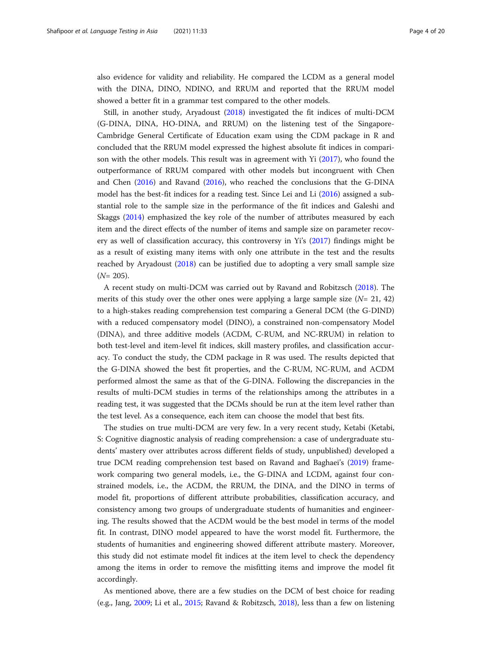also evidence for validity and reliability. He compared the LCDM as a general model with the DINA, DINO, NDINO, and RRUM and reported that the RRUM model showed a better fit in a grammar test compared to the other models.

Still, in another study, Aryadoust [\(2018\)](#page-17-0) investigated the fit indices of multi-DCM (G-DINA, DINA, HO-DINA, and RRUM) on the listening test of the Singapore-Cambridge General Certificate of Education exam using the CDM package in R and concluded that the RRUM model expressed the highest absolute fit indices in comparison with the other models. This result was in agreement with Yi [\(2017\)](#page-19-0), who found the outperformance of RRUM compared with other models but incongruent with Chen and Chen ([2016\)](#page-17-0) and Ravand [\(2016\)](#page-18-0), who reached the conclusions that the G-DINA model has the best-fit indices for a reading test. Since Lei and Li [\(2016\)](#page-18-0) assigned a substantial role to the sample size in the performance of the fit indices and Galeshi and Skaggs [\(2014\)](#page-18-0) emphasized the key role of the number of attributes measured by each item and the direct effects of the number of items and sample size on parameter recovery as well of classification accuracy, this controversy in Yi's ([2017](#page-19-0)) findings might be as a result of existing many items with only one attribute in the test and the results reached by Aryadoust ([2018](#page-17-0)) can be justified due to adopting a very small sample size  $(N= 205)$ .

A recent study on multi-DCM was carried out by Ravand and Robitzsch [\(2018\)](#page-19-0). The merits of this study over the other ones were applying a large sample size  $(N= 21, 42)$ to a high-stakes reading comprehension test comparing a General DCM (the G-DIND) with a reduced compensatory model (DINO), a constrained non-compensatory Model (DINA), and three additive models (ACDM, C-RUM, and NC-RRUM) in relation to both test-level and item-level fit indices, skill mastery profiles, and classification accuracy. To conduct the study, the CDM package in R was used. The results depicted that the G-DINA showed the best fit properties, and the C-RUM, NC-RUM, and ACDM performed almost the same as that of the G-DINA. Following the discrepancies in the results of multi-DCM studies in terms of the relationships among the attributes in a reading test, it was suggested that the DCMs should be run at the item level rather than the test level. As a consequence, each item can choose the model that best fits.

The studies on true multi-DCM are very few. In a very recent study, Ketabi (Ketabi, S: Cognitive diagnostic analysis of reading comprehension: a case of undergraduate students' mastery over attributes across different fields of study, unpublished) developed a true DCM reading comprehension test based on Ravand and Baghaei's ([2019](#page-18-0)) framework comparing two general models, i.e., the G-DINA and LCDM, against four constrained models, i.e., the ACDM, the RRUM, the DINA, and the DINO in terms of model fit, proportions of different attribute probabilities, classification accuracy, and consistency among two groups of undergraduate students of humanities and engineering. The results showed that the ACDM would be the best model in terms of the model fit. In contrast, DINO model appeared to have the worst model fit. Furthermore, the students of humanities and engineering showed different attribute mastery. Moreover, this study did not estimate model fit indices at the item level to check the dependency among the items in order to remove the misfitting items and improve the model fit accordingly.

As mentioned above, there are a few studies on the DCM of best choice for reading (e.g., Jang, [2009](#page-18-0); Li et al., [2015](#page-18-0); Ravand & Robitzsch, [2018\)](#page-19-0), less than a few on listening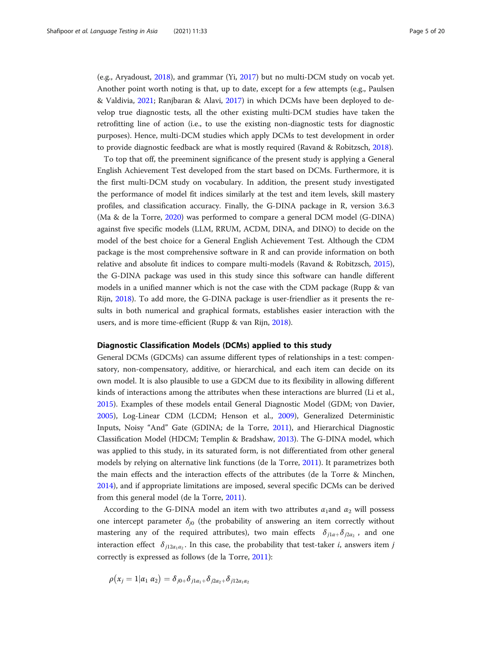(e.g., Aryadoust, [2018](#page-17-0)), and grammar (Yi, [2017](#page-19-0)) but no multi-DCM study on vocab yet. Another point worth noting is that, up to date, except for a few attempts (e.g., Paulsen & Valdivia, [2021](#page-18-0); Ranjbaran & Alavi, [2017\)](#page-18-0) in which DCMs have been deployed to develop true diagnostic tests, all the other existing multi-DCM studies have taken the retrofitting line of action (i.e., to use the existing non-diagnostic tests for diagnostic purposes). Hence, multi-DCM studies which apply DCMs to test development in order to provide diagnostic feedback are what is mostly required (Ravand & Robitzsch, [2018\)](#page-19-0).

To top that off, the preeminent significance of the present study is applying a General English Achievement Test developed from the start based on DCMs. Furthermore, it is the first multi-DCM study on vocabulary. In addition, the present study investigated the performance of model fit indices similarly at the test and item levels, skill mastery profiles, and classification accuracy. Finally, the G-DINA package in R, version 3.6.3 (Ma & de la Torre, [2020](#page-18-0)) was performed to compare a general DCM model (G-DINA) against five specific models (LLM, RRUM, ACDM, DINA, and DINO) to decide on the model of the best choice for a General English Achievement Test. Although the CDM package is the most comprehensive software in R and can provide information on both relative and absolute fit indices to compare multi-models (Ravand & Robitzsch, [2015](#page-19-0)), the G-DINA package was used in this study since this software can handle different models in a unified manner which is not the case with the CDM package (Rupp & van Rijn, [2018](#page-19-0)). To add more, the G-DINA package is user-friendlier as it presents the results in both numerical and graphical formats, establishes easier interaction with the users, and is more time-efficient (Rupp & van Rijn, [2018](#page-19-0)).

# Diagnostic Classification Models (DCMs) applied to this study

General DCMs (GDCMs) can assume different types of relationships in a test: compensatory, non-compensatory, additive, or hierarchical, and each item can decide on its own model. It is also plausible to use a GDCM due to its flexibility in allowing different kinds of interactions among the attributes when these interactions are blurred (Li et al., [2015](#page-18-0)). Examples of these models entail General Diagnostic Model (GDM; von Davier, [2005](#page-19-0)), Log-Linear CDM (LCDM; Henson et al., [2009](#page-18-0)), Generalized Deterministic Inputs, Noisy "And" Gate (GDINA; de la Torre, [2011](#page-17-0)), and Hierarchical Diagnostic Classification Model (HDCM; Templin & Bradshaw, [2013\)](#page-19-0). The G-DINA model, which was applied to this study, in its saturated form, is not differentiated from other general models by relying on alternative link functions (de la Torre, [2011\)](#page-17-0). It parametrizes both the main effects and the interaction effects of the attributes (de la Torre & Minchen, [2014](#page-17-0)), and if appropriate limitations are imposed, several specific DCMs can be derived from this general model (de la Torre, [2011\)](#page-17-0).

According to the G-DINA model an item with two attributes  $\alpha_1$  and  $\alpha_2$  will possess one intercept parameter  $\delta_{i0}$  (the probability of answering an item correctly without mastering any of the required attributes), two main effects  $\delta_{j1\alpha}$   $\delta_{j2\alpha_2}$ , and one interaction effect  $\delta_{i12\alpha_1\alpha_2}$ . In this case, the probability that test-taker *i*, answers item *j* correctly is expressed as follows (de la Torre, [2011\)](#page-17-0):

$$
\rho(x_j=1|\alpha_1\,\alpha_2)=\delta_{j0+}\delta_{j1\alpha_1+}\delta_{j2\alpha_2+}\delta_{j12\alpha_1\alpha_2}
$$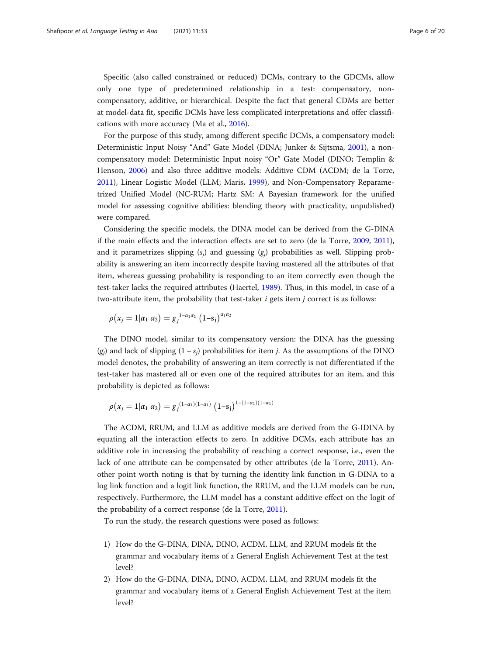Specific (also called constrained or reduced) DCMs, contrary to the GDCMs, allow only one type of predetermined relationship in a test: compensatory, noncompensatory, additive, or hierarchical. Despite the fact that general CDMs are better at model-data fit, specific DCMs have less complicated interpretations and offer classifications with more accuracy (Ma et al., [2016\)](#page-18-0).

For the purpose of this study, among different specific DCMs, a compensatory model: Deterministic Input Noisy "And" Gate Model (DINA; Junker & Sijtsma, [2001](#page-18-0)), a noncompensatory model: Deterministic Input noisy "Or" Gate Model (DINO; Templin & Henson, [2006\)](#page-19-0) and also three additive models: Additive CDM (ACDM; de la Torre, [2011](#page-17-0)), Linear Logistic Model (LLM; Maris, [1999](#page-18-0)), and Non-Compensatory Reparametrized Unified Model (NC-RUM; Hartz SM: A Bayesian framework for the unified model for assessing cognitive abilities: blending theory with practicality, unpublished) were compared.

Considering the specific models, the DINA model can be derived from the G-DINA if the main effects and the interaction effects are set to zero (de la Torre, [2009](#page-17-0), [2011](#page-17-0)), and it parametrizes slipping  $(s_i)$  and guessing  $(g_i)$  probabilities as well. Slipping probability is answering an item incorrectly despite having mastered all the attributes of that item, whereas guessing probability is responding to an item correctly even though the test-taker lacks the required attributes (Haertel, [1989](#page-18-0)). Thus, in this model, in case of a two-attribute item, the probability that test-taker  $i$  gets item  $j$  correct is as follows:

$$
\rho(x_j = 1 | \alpha_1 \alpha_2) = g_j^{1-\alpha_1\alpha_2} (1-s_j)^{\alpha_1\alpha_2}
$$

The DINO model, similar to its compensatory version: the DINA has the guessing  $(g<sub>i</sub>)$  and lack of slipping  $(1 - s<sub>i</sub>)$  probabilities for item *j*. As the assumptions of the DINO model denotes, the probability of answering an item correctly is not differentiated if the test-taker has mastered all or even one of the required attributes for an item, and this probability is depicted as follows:

$$
\rho(x_j=1|\alpha_1 \alpha_2)=g_j^{(1-\alpha_1)(1-\alpha_1)} (1-s_j)^{1-(1-\alpha_1)(1-\alpha_1)}
$$

The ACDM, RRUM, and LLM as additive models are derived from the G-IDINA by equating all the interaction effects to zero. In additive DCMs, each attribute has an additive role in increasing the probability of reaching a correct response, i.e., even the lack of one attribute can be compensated by other attributes (de la Torre, [2011\)](#page-17-0). Another point worth noting is that by turning the identity link function in G-DINA to a log link function and a logit link function, the RRUM, and the LLM models can be run, respectively. Furthermore, the LLM model has a constant additive effect on the logit of the probability of a correct response (de la Torre, [2011\)](#page-17-0).

To run the study, the research questions were posed as follows:

- 1) How do the G-DINA, DINA, DINO, ACDM, LLM, and RRUM models fit the grammar and vocabulary items of a General English Achievement Test at the test level?
- 2) How do the G-DINA, DINA, DINO, ACDM, LLM, and RRUM models fit the grammar and vocabulary items of a General English Achievement Test at the item level?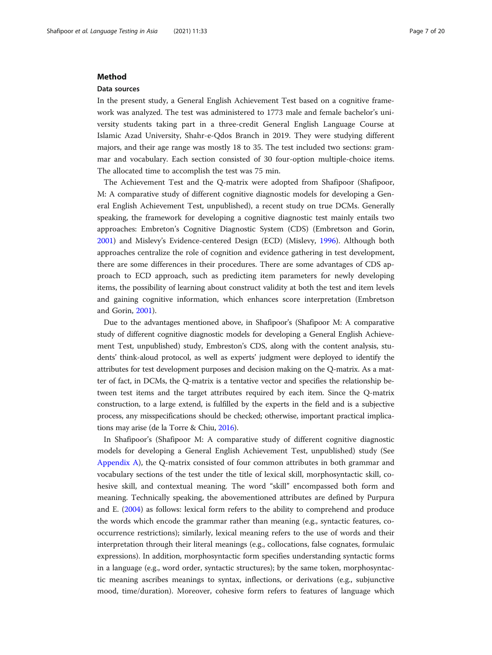# Method

# Data sources

In the present study, a General English Achievement Test based on a cognitive framework was analyzed. The test was administered to 1773 male and female bachelor's university students taking part in a three-credit General English Language Course at Islamic Azad University, Shahr-e-Qdos Branch in 2019. They were studying different majors, and their age range was mostly 18 to 35. The test included two sections: grammar and vocabulary. Each section consisted of 30 four-option multiple-choice items. The allocated time to accomplish the test was 75 min.

The Achievement Test and the Q-matrix were adopted from Shafipoor (Shafipoor, M: A comparative study of different cognitive diagnostic models for developing a General English Achievement Test, unpublished), a recent study on true DCMs. Generally speaking, the framework for developing a cognitive diagnostic test mainly entails two approaches: Embreton's Cognitive Diagnostic System (CDS) (Embretson and Gorin, [2001](#page-18-0)) and Mislevy's Evidence-centered Design (ECD) (Mislevy, [1996\)](#page-18-0). Although both approaches centralize the role of cognition and evidence gathering in test development, there are some differences in their procedures. There are some advantages of CDS approach to ECD approach, such as predicting item parameters for newly developing items, the possibility of learning about construct validity at both the test and item levels and gaining cognitive information, which enhances score interpretation (Embretson and Gorin, [2001](#page-18-0)).

Due to the advantages mentioned above, in Shafipoor's (Shafipoor M: A comparative study of different cognitive diagnostic models for developing a General English Achievement Test, unpublished) study, Embreston's CDS, along with the content analysis, students' think-aloud protocol, as well as experts' judgment were deployed to identify the attributes for test development purposes and decision making on the Q-matrix. As a matter of fact, in DCMs, the Q-matrix is a tentative vector and specifies the relationship between test items and the target attributes required by each item. Since the Q-matrix construction, to a large extend, is fulfilled by the experts in the field and is a subjective process, any misspecifications should be checked; otherwise, important practical implications may arise (de la Torre & Chiu, [2016\)](#page-17-0).

In Shafipoor's (Shafipoor M: A comparative study of different cognitive diagnostic models for developing a General English Achievement Test, unpublished) study (See [Appendix A\)](#page-17-0), the Q-matrix consisted of four common attributes in both grammar and vocabulary sections of the test under the title of lexical skill, morphosyntactic skill, cohesive skill, and contextual meaning. The word "skill" encompassed both form and meaning. Technically speaking, the abovementioned attributes are defined by Purpura and E. ([2004](#page-18-0)) as follows: lexical form refers to the ability to comprehend and produce the words which encode the grammar rather than meaning (e.g., syntactic features, cooccurrence restrictions); similarly, lexical meaning refers to the use of words and their interpretation through their literal meanings (e.g., collocations, false cognates, formulaic expressions). In addition, morphosyntactic form specifies understanding syntactic forms in a language (e.g., word order, syntactic structures); by the same token, morphosyntactic meaning ascribes meanings to syntax, inflections, or derivations (e.g., subjunctive mood, time/duration). Moreover, cohesive form refers to features of language which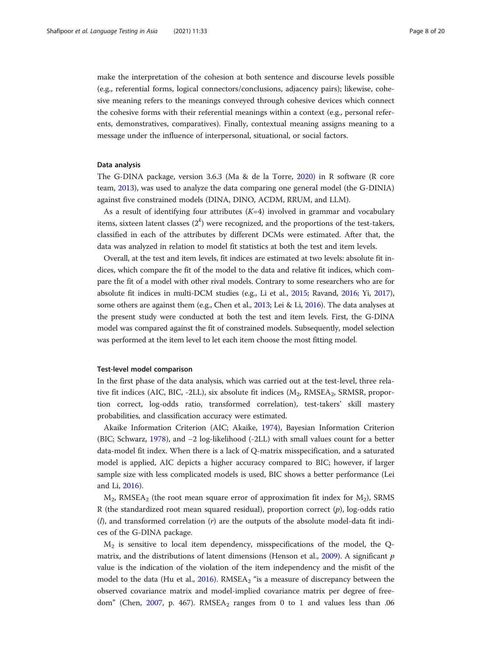make the interpretation of the cohesion at both sentence and discourse levels possible (e.g., referential forms, logical connectors/conclusions, adjacency pairs); likewise, cohesive meaning refers to the meanings conveyed through cohesive devices which connect the cohesive forms with their referential meanings within a context (e.g., personal referents, demonstratives, comparatives). Finally, contextual meaning assigns meaning to a message under the influence of interpersonal, situational, or social factors.

# Data analysis

The G-DINA package, version 3.6.3 (Ma & de la Torre, [2020\)](#page-18-0) in R software (R core team, [2013\)](#page-18-0), was used to analyze the data comparing one general model (the G-DINIA) against five constrained models (DINA, DINO, ACDM, RRUM, and LLM).

As a result of identifying four attributes  $(K=4)$  involved in grammar and vocabulary items, sixteen latent classes (2 $^{\prime\prime}$ ) were recognized, and the proportions of the test-takers, classified in each of the attributes by different DCMs were estimated. After that, the data was analyzed in relation to model fit statistics at both the test and item levels.

Overall, at the test and item levels, fit indices are estimated at two levels: absolute fit indices, which compare the fit of the model to the data and relative fit indices, which compare the fit of a model with other rival models. Contrary to some researchers who are for absolute fit indices in multi-DCM studies (e.g., Li et al., [2015](#page-18-0); Ravand, [2016;](#page-18-0) Yi, [2017](#page-19-0)), some others are against them (e.g., Chen et al., [2013;](#page-17-0) Lei & Li, [2016\)](#page-18-0). The data analyses at the present study were conducted at both the test and item levels. First, the G-DINA model was compared against the fit of constrained models. Subsequently, model selection was performed at the item level to let each item choose the most fitting model.

# Test-level model comparison

In the first phase of the data analysis, which was carried out at the test-level, three relative fit indices (AIC, BIC, -2LL), six absolute fit indices  $(M_2, RMSEA_2, SRMSR, propor$ tion correct, log-odds ratio, transformed correlation), test-takers' skill mastery probabilities, and classification accuracy were estimated.

Akaike Information Criterion (AIC; Akaike, [1974](#page-17-0)), Bayesian Information Criterion (BIC; Schwarz, [1978\)](#page-19-0), and −2 log-likelihood (-2LL) with small values count for a better data-model fit index. When there is a lack of Q-matrix misspecification, and a saturated model is applied, AIC depicts a higher accuracy compared to BIC; however, if larger sample size with less complicated models is used, BIC shows a better performance (Lei and Li, [2016](#page-18-0)).

 $M<sub>2</sub>$ , RMSEA<sub>2</sub> (the root mean square error of approximation fit index for  $M<sub>2</sub>$ ), SRMS R (the standardized root mean squared residual), proportion correct  $(p)$ , log-odds ratio  $(l)$ , and transformed correlation  $(r)$  are the outputs of the absolute model-data fit indices of the G-DINA package.

 $M<sub>2</sub>$  is sensitive to local item dependency, misspecifications of the model, the Q-matrix, and the distributions of latent dimensions (Henson et al., [2009\)](#page-18-0). A significant  $p$ value is the indication of the violation of the item independency and the misfit of the model to the data (Hu et al., [2016\)](#page-18-0). RMSEA2 "is a measure of discrepancy between the observed covariance matrix and model-implied covariance matrix per degree of free-dom" (Chen, [2007,](#page-17-0) p. 467).  $RMSEA<sub>2</sub>$  ranges from 0 to 1 and values less than .06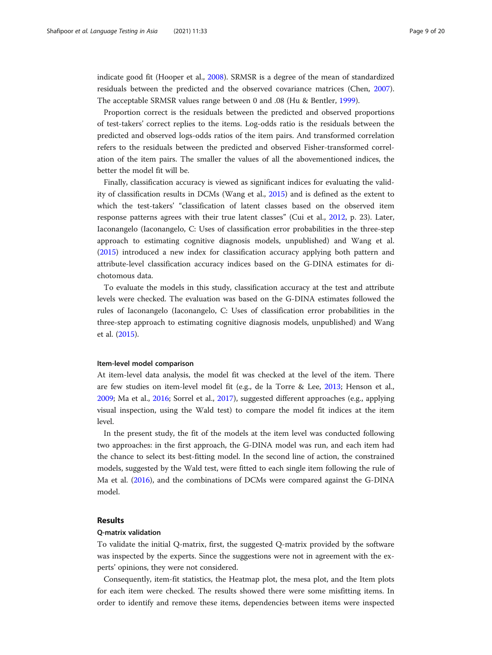indicate good fit (Hooper et al., [2008\)](#page-18-0). SRMSR is a degree of the mean of standardized residuals between the predicted and the observed covariance matrices (Chen, [2007](#page-17-0)). The acceptable SRMSR values range between 0 and .08 (Hu & Bentler, [1999](#page-18-0)).

Proportion correct is the residuals between the predicted and observed proportions of test-takers' correct replies to the items. Log-odds ratio is the residuals between the predicted and observed logs-odds ratios of the item pairs. And transformed correlation refers to the residuals between the predicted and observed Fisher-transformed correlation of the item pairs. The smaller the values of all the abovementioned indices, the better the model fit will be.

Finally, classification accuracy is viewed as significant indices for evaluating the validity of classification results in DCMs (Wang et al., [2015](#page-19-0)) and is defined as the extent to which the test-takers' "classification of latent classes based on the observed item response patterns agrees with their true latent classes" (Cui et al., [2012](#page-17-0), p. 23). Later, Iaconangelo (Iaconangelo, C: Uses of classification error probabilities in the three-step approach to estimating cognitive diagnosis models, unpublished) and Wang et al. ([2015](#page-19-0)) introduced a new index for classification accuracy applying both pattern and attribute-level classification accuracy indices based on the G-DINA estimates for dichotomous data.

To evaluate the models in this study, classification accuracy at the test and attribute levels were checked. The evaluation was based on the G-DINA estimates followed the rules of Iaconangelo (Iaconangelo, C: Uses of classification error probabilities in the three-step approach to estimating cognitive diagnosis models, unpublished) and Wang et al. [\(2015\)](#page-19-0).

# Item-level model comparison

At item-level data analysis, the model fit was checked at the level of the item. There are few studies on item-level model fit (e.g., de la Torre & Lee, [2013;](#page-17-0) Henson et al., [2009](#page-18-0); Ma et al., [2016;](#page-18-0) Sorrel et al., [2017\)](#page-19-0), suggested different approaches (e.g., applying visual inspection, using the Wald test) to compare the model fit indices at the item level.

In the present study, the fit of the models at the item level was conducted following two approaches: in the first approach, the G-DINA model was run, and each item had the chance to select its best-fitting model. In the second line of action, the constrained models, suggested by the Wald test, were fitted to each single item following the rule of Ma et al. ([2016](#page-18-0)), and the combinations of DCMs were compared against the G-DINA model.

# Results

# Q-matrix validation

To validate the initial Q-matrix, first, the suggested Q-matrix provided by the software was inspected by the experts. Since the suggestions were not in agreement with the experts' opinions, they were not considered.

Consequently, item-fit statistics, the Heatmap plot, the mesa plot, and the Item plots for each item were checked. The results showed there were some misfitting items. In order to identify and remove these items, dependencies between items were inspected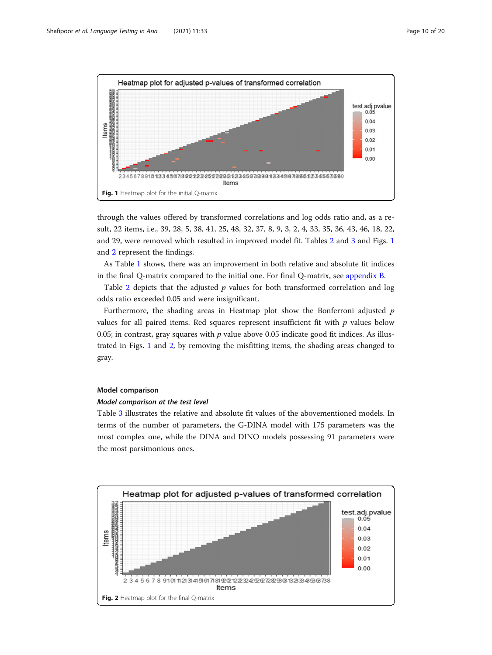

through the values offered by transformed correlations and log odds ratio and, as a result, 22 items, i.e., 39, 28, 5, 38, 41, 25, 48, 32, 37, 8, 9, 3, 2, 4, 33, 35, 36, 43, 46, 18, 22, and 29, were removed which resulted in improved model fit. Tables [2](#page-10-0) and [3](#page-11-0) and Figs. 1 and 2 represent the findings.

As Table [1](#page-10-0) shows, there was an improvement in both relative and absolute fit indices in the final Q-matrix compared to the initial one. For final Q-matrix, see [appendix B](#page-17-0).

Table [2](#page-10-0) depicts that the adjusted  $p$  values for both transformed correlation and log odds ratio exceeded 0.05 and were insignificant.

Furthermore, the shading areas in Heatmap plot show the Bonferroni adjusted  $p$ values for all paired items. Red squares represent insufficient fit with  $p$  values below 0.05; in contrast, gray squares with  $p$  value above 0.05 indicate good fit indices. As illustrated in Figs. 1 and 2, by removing the misfitting items, the shading areas changed to gray.

# Model comparison

## Model comparison at the test level

Table [3](#page-11-0) illustrates the relative and absolute fit values of the abovementioned models. In terms of the number of parameters, the G-DINA model with 175 parameters was the most complex one, while the DINA and DINO models possessing 91 parameters were the most parsimonious ones.

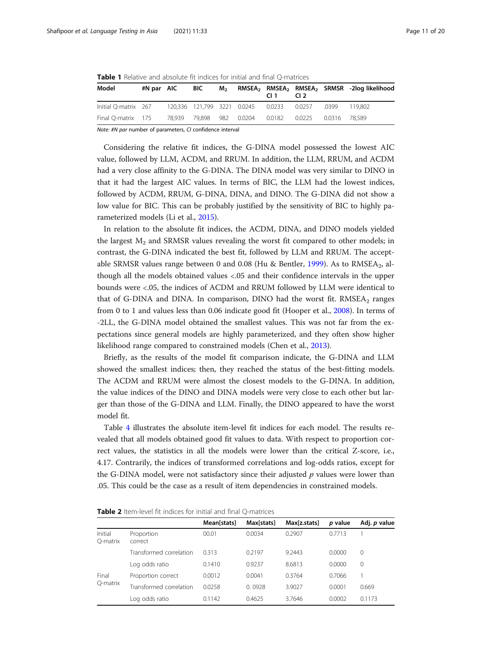<span id="page-10-0"></span>Table 1 Relative and absolute fit indices for initial and final Q-matrices

| Model                                                                        | #N par AIC BIC |  | C11 | CL <sub>2</sub> | M <sub>2</sub> RMSEA <sub>2</sub> RMSEA <sub>2</sub> RMSEA <sub>2</sub> SRMSR -2log likelihood |
|------------------------------------------------------------------------------|----------------|--|-----|-----------------|------------------------------------------------------------------------------------------------|
| lnitial Q-matrix 267 120,336 121,799 3221 0.0245 0.0233 0.0257 .0399 119,802 |                |  |     |                 |                                                                                                |
| Final O-matrix 175 78.939 79.898 982 0.0204 0.0182 0.0225 0.0316 78.589      |                |  |     |                 |                                                                                                |

Note: #N par number of parameters, CI confidence interval

Considering the relative fit indices, the G-DINA model possessed the lowest AIC value, followed by LLM, ACDM, and RRUM. In addition, the LLM, RRUM, and ACDM had a very close affinity to the G-DINA. The DINA model was very similar to DINO in that it had the largest AIC values. In terms of BIC, the LLM had the lowest indices, followed by ACDM, RRUM, G-DINA, DINA, and DINO. The G-DINA did not show a low value for BIC. This can be probably justified by the sensitivity of BIC to highly parameterized models (Li et al., [2015\)](#page-18-0).

In relation to the absolute fit indices, the ACDM, DINA, and DINO models yielded the largest  $M_2$  and SRMSR values revealing the worst fit compared to other models; in contrast, the G-DINA indicated the best fit, followed by LLM and RRUM. The accept-able SRMSR values range between 0 and 0.08 (Hu & Bentler, [1999\)](#page-18-0). As to RMSEA<sub>2</sub>, although all the models obtained values <.05 and their confidence intervals in the upper bounds were <.05, the indices of ACDM and RRUM followed by LLM were identical to that of G-DINA and DINA. In comparison, DINO had the worst fit.  $RMSEA<sub>2</sub>$  ranges from 0 to 1 and values less than 0.06 indicate good fit (Hooper et al., [2008](#page-18-0)). In terms of -2LL, the G-DINA model obtained the smallest values. This was not far from the expectations since general models are highly parameterized, and they often show higher likelihood range compared to constrained models (Chen et al., [2013](#page-17-0)).

Briefly, as the results of the model fit comparison indicate, the G-DINA and LLM showed the smallest indices; then, they reached the status of the best-fitting models. The ACDM and RRUM were almost the closest models to the G-DINA. In addition, the value indices of the DINO and DINA models were very close to each other but larger than those of the G-DINA and LLM. Finally, the DINO appeared to have the worst model fit.

Table [4](#page-11-0) illustrates the absolute item-level fit indices for each model. The results revealed that all models obtained good fit values to data. With respect to proportion correct values, the statistics in all the models were lower than the critical Z-score, i.e., 4.17. Contrarily, the indices of transformed correlations and log-odds ratios, except for the G-DINA model, were not satisfactory since their adjusted  $p$  values were lower than .05. This could be the case as a result of item dependencies in constrained models.

|                     |                         | Mean[stats] | Max[stats] | Max[z.stats] | p value | Adj. p value |
|---------------------|-------------------------|-------------|------------|--------------|---------|--------------|
| Initial<br>O-matrix | Proportion<br>correct   | 00.01       | 0.0034     | 0.2907       | 0.7713  |              |
|                     | Transformed correlation | 0.313       | 0.2197     | 9.2443       | 0.0000  | $\Omega$     |
|                     | Log odds ratio          | 0.1410      | 0.9237     | 8.6813       | 0.0000  | $\Omega$     |
| Final               | Proportion correct      | 0.0012      | 0.0041     | 0.3764       | 0.7066  |              |
| O-matrix            | Transformed correlation | 0.0258      | 0.0928     | 3.9027       | 0.0001  | 0.669        |
|                     | Log odds ratio          | 0.1142      | 0.4625     | 3.7646       | 0.0002  | 0.1173       |

Table 2 Item-level fit indices for initial and final O-matrices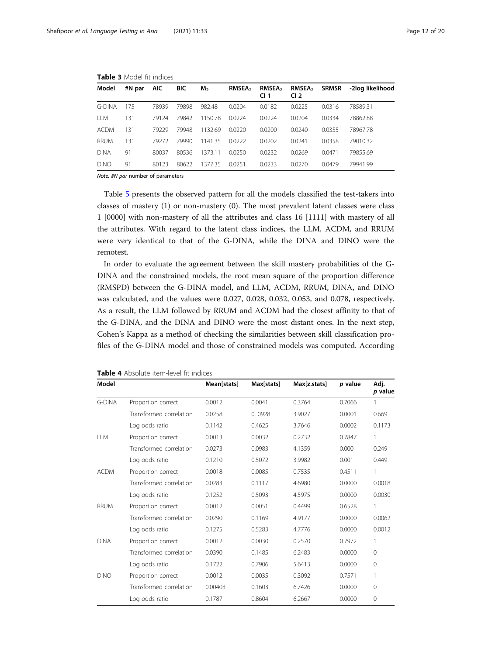| Model         | #N par | AIC.  | <b>BIC</b> | M <sub>2</sub> | RMSEA <sub>2</sub> | RMSEA <sub>2</sub><br>CI <sub>1</sub> | RMSEA <sub>2</sub><br>CI <sub>2</sub> | <b>SRMSR</b> | -2log likelihood |
|---------------|--------|-------|------------|----------------|--------------------|---------------------------------------|---------------------------------------|--------------|------------------|
| <b>G-DINA</b> | 175    | 78939 | 79898      | 982.48         | 0.0204             | 0.0182                                | 0.0225                                | 0.0316       | 78589.31         |
| <b>LLM</b>    | 131    | 79124 | 79842      | 1150.78        | 0.0224             | 0.0224                                | 0.0204                                | 0.0334       | 78862.88         |
| <b>ACDM</b>   | 131    | 79229 | 79948      | 1132.69        | 00220              | 0.0200                                | 0.0240                                | 0.0355       | 78967.78         |
| <b>RRUM</b>   | 131    | 79272 | 79990      | 1141.35        | 0.0222             | 0.0202                                | 0.0241                                | 0.0358       | 79010.32         |
| <b>DINA</b>   | 91     | 80037 | 80536      | 1373.11        | 0.0250             | 0.0232                                | 0.0269                                | 0.0471       | 79855.69         |
| <b>DINO</b>   | 91     | 80123 | 80622      | 1377.35        | 0.0251             | 0.0233                                | 0.0270                                | 0.0479       | 79941.99         |

<span id="page-11-0"></span>Table 3 Model fit indices

Note. #N par number of parameters

Table [5](#page-12-0) presents the observed pattern for all the models classified the test-takers into classes of mastery (1) or non-mastery (0). The most prevalent latent classes were class 1 [0000] with non-mastery of all the attributes and class 16 [1111] with mastery of all the attributes. With regard to the latent class indices, the LLM, ACDM, and RRUM were very identical to that of the G-DINA, while the DINA and DINO were the remotest.

In order to evaluate the agreement between the skill mastery probabilities of the G-DINA and the constrained models, the root mean square of the proportion difference (RMSPD) between the G-DINA model, and LLM, ACDM, RRUM, DINA, and DINO was calculated, and the values were 0.027, 0.028, 0.032, 0.053, and 0.078, respectively. As a result, the LLM followed by RRUM and ACDM had the closest affinity to that of the G-DINA, and the DINA and DINO were the most distant ones. In the next step, Cohen's Kappa as a method of checking the similarities between skill classification profiles of the G-DINA model and those of constrained models was computed. According

| Model       |                         | Mean[stats] | Max[stats] | Max[z.stats] | p value | Adj.<br>p value |
|-------------|-------------------------|-------------|------------|--------------|---------|-----------------|
| G-DINA      | Proportion correct      | 0.0012      | 0.0041     | 0.3764       | 0.7066  | 1               |
|             | Transformed correlation | 0.0258      | 0.0928     | 3.9027       | 0.0001  | 0.669           |
|             | Log odds ratio          | 0.1142      | 0.4625     | 3.7646       | 0.0002  | 0.1173          |
| <b>LLM</b>  | Proportion correct      | 0.0013      | 0.0032     | 0.2732       | 0.7847  | 1               |
|             | Transformed correlation | 0.0273      | 0.0983     | 4.1359       | 0.000   | 0.249           |
|             | Log odds ratio          | 0.1210      | 0.5072     | 3.9982       | 0.001   | 0.449           |
| <b>ACDM</b> | Proportion correct      | 0.0018      | 0.0085     | 0.7535       | 0.4511  | 1               |
|             | Transformed correlation | 0.0283      | 0.1117     | 4.6980       | 0.0000  | 0.0018          |
|             | Log odds ratio          | 0.1252      | 0.5093     | 4.5975       | 0.0000  | 0.0030          |
| RRUM        | Proportion correct      | 0.0012      | 0.0051     | 0.4499       | 0.6528  | 1               |
|             | Transformed correlation | 0.0290      | 0.1169     | 4.9177       | 0.0000  | 0.0062          |
|             | Log odds ratio          | 0.1275      | 0.5283     | 4.7776       | 0.0000  | 0.0012          |
| <b>DINA</b> | Proportion correct      | 0.0012      | 0.0030     | 0.2570       | 0.7972  | 1               |
|             | Transformed correlation | 0.0390      | 0.1485     | 6.2483       | 0.0000  | $\mathbf{0}$    |
|             | Log odds ratio          | 0.1722      | 0.7906     | 5.6413       | 0.0000  | $\circ$         |
| <b>DINO</b> | Proportion correct      | 0.0012      | 0.0035     | 0.3092       | 0.7571  | 1               |
|             | Transformed correlation | 0.00403     | 0.1603     | 6.7426       | 0.0000  | $\Omega$        |
|             | Log odds ratio          | 0.1787      | 0.8604     | 6.2667       | 0.0000  | 0               |

Table 4 Absolute item-level fit indices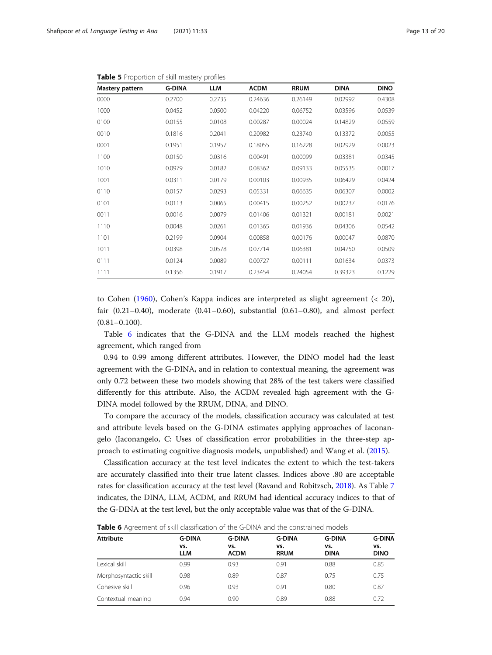| Mastery pattern | <b>G-DINA</b> | <b>LLM</b> | <b>ACDM</b> | <b>RRUM</b> | <b>DINA</b> | <b>DINO</b> |
|-----------------|---------------|------------|-------------|-------------|-------------|-------------|
| 0000            | 0.2700        | 0.2735     | 0.24636     | 0.26149     | 0.02992     | 0.4308      |
| 1000            | 0.0452        | 0.0500     | 0.04220     | 0.06752     | 0.03596     | 0.0539      |
| 0100            | 0.0155        | 0.0108     | 0.00287     | 0.00024     | 0.14829     | 0.0559      |
| 0010            | 0.1816        | 0.2041     | 0.20982     | 0.23740     | 0.13372     | 0.0055      |
| 0001            | 0.1951        | 0.1957     | 0.18055     | 0.16228     | 0.02929     | 0.0023      |
| 1100            | 0.0150        | 0.0316     | 0.00491     | 0.00099     | 0.03381     | 0.0345      |
| 1010            | 0.0979        | 0.0182     | 0.08362     | 0.09133     | 0.05535     | 0.0017      |
| 1001            | 0.0311        | 0.0179     | 0.00103     | 0.00935     | 0.06429     | 0.0424      |
| 0110            | 0.0157        | 0.0293     | 0.05331     | 0.06635     | 0.06307     | 0.0002      |
| 0101            | 0.0113        | 0.0065     | 0.00415     | 0.00252     | 0.00237     | 0.0176      |
| 0011            | 0.0016        | 0.0079     | 0.01406     | 0.01321     | 0.00181     | 0.0021      |
| 1110            | 0.0048        | 0.0261     | 0.01365     | 0.01936     | 0.04306     | 0.0542      |
| 1101            | 0.2199        | 0.0904     | 0.00858     | 0.00176     | 0.00047     | 0.0870      |
| 1011            | 0.0398        | 0.0578     | 0.07714     | 0.06381     | 0.04750     | 0.0509      |
| 0111            | 0.0124        | 0.0089     | 0.00727     | 0.00111     | 0.01634     | 0.0373      |
| 1111            | 0.1356        | 0.1917     | 0.23454     | 0.24054     | 0.39323     | 0.1229      |

<span id="page-12-0"></span>Table 5 Proportion of skill mastery profiles

to Cohen ([1960\)](#page-17-0), Cohen's Kappa indices are interpreted as slight agreement (< 20), fair  $(0.21-0.40)$ , moderate  $(0.41-0.60)$ , substantial  $(0.61-0.80)$ , and almost perfect  $(0.81 - 0.100)$ .

Table 6 indicates that the G-DINA and the LLM models reached the highest agreement, which ranged from

0.94 to 0.99 among different attributes. However, the DINO model had the least agreement with the G-DINA, and in relation to contextual meaning, the agreement was only 0.72 between these two models showing that 28% of the test takers were classified differently for this attribute. Also, the ACDM revealed high agreement with the G-DINA model followed by the RRUM, DINA, and DINO.

To compare the accuracy of the models, classification accuracy was calculated at test and attribute levels based on the G-DINA estimates applying approaches of Iaconangelo (Iaconangelo, C: Uses of classification error probabilities in the three-step approach to estimating cognitive diagnosis models, unpublished) and Wang et al. [\(2015\)](#page-19-0).

Classification accuracy at the test level indicates the extent to which the test-takers are accurately classified into their true latent classes. Indices above .80 are acceptable rates for classification accuracy at the test level (Ravand and Robitzsch, [2018\)](#page-19-0). As Table [7](#page-13-0) indicates, the DINA, LLM, ACDM, and RRUM had identical accuracy indices to that of the G-DINA at the test level, but the only acceptable value was that of the G-DINA.

Table 6 Agreement of skill classification of the G-DINA and the constrained models

| <b>Attribute</b>      | <b>G-DINA</b>     | <b>G-DINA</b>      | <b>G-DINA</b>      | <b>G-DINA</b>      | <b>G-DINA</b>      |
|-----------------------|-------------------|--------------------|--------------------|--------------------|--------------------|
|                       | vs.<br><b>LLM</b> | vs.<br><b>ACDM</b> | VS.<br><b>RRUM</b> | vs.<br><b>DINA</b> | vs.<br><b>DINO</b> |
| Lexical skill         | 0.99              | 0.93               | 0.91               | 0.88               | 0.85               |
| Morphosyntactic skill | 0.98              | 0.89               | 0.87               | 0.75               | 0.75               |
| Cohesive skill        | 0.96              | 0.93               | 0.91               | 0.80               | 0.87               |
| Contextual meaning    | 0.94              | 0.90               | 0.89               | 0.88               | 0.72               |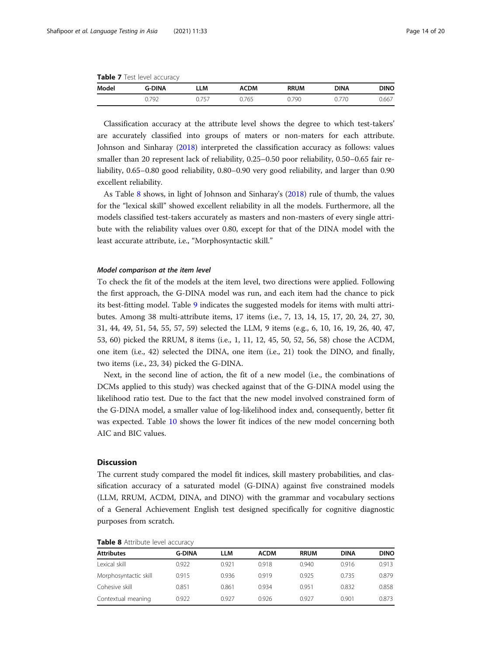<span id="page-13-0"></span>

| <b>Table 7</b> Test level accuracy |  |
|------------------------------------|--|
|------------------------------------|--|

| Model | <b>G-DINA</b> | LLM       | ACDM | <b>RRUM</b> | <b>DINA</b> | <b>DINO</b> |
|-------|---------------|-----------|------|-------------|-------------|-------------|
|       | 700<br>ノム     | L.<br>. ب | 765  | 790         | ' U         | 0.667       |

Classification accuracy at the attribute level shows the degree to which test-takers' are accurately classified into groups of maters or non-maters for each attribute. Johnson and Sinharay ([2018](#page-18-0)) interpreted the classification accuracy as follows: values smaller than 20 represent lack of reliability, 0.25–0.50 poor reliability, 0.50–0.65 fair reliability, 0.65–0.80 good reliability, 0.80–0.90 very good reliability, and larger than 0.90 excellent reliability.

As Table 8 shows, in light of Johnson and Sinharay's [\(2018](#page-18-0)) rule of thumb, the values for the "lexical skill" showed excellent reliability in all the models. Furthermore, all the models classified test-takers accurately as masters and non-masters of every single attribute with the reliability values over 0.80, except for that of the DINA model with the least accurate attribute, i.e., "Morphosyntactic skill."

# Model comparison at the item level

To check the fit of the models at the item level, two directions were applied. Following the first approach, the G-DINA model was run, and each item had the chance to pick its best-fitting model. Table [9](#page-14-0) indicates the suggested models for items with multi attributes. Among 38 multi-attribute items, 17 items (i.e., 7, 13, 14, 15, 17, 20, 24, 27, 30, 31, 44, 49, 51, 54, 55, 57, 59) selected the LLM, 9 items (e.g., 6, 10, 16, 19, 26, 40, 47, 53, 60) picked the RRUM, 8 items (i.e., 1, 11, 12, 45, 50, 52, 56, 58) chose the ACDM, one item (i.e., 42) selected the DINA, one item (i.e., 21) took the DINO, and finally, two items (i.e., 23, 34) picked the G-DINA.

Next, in the second line of action, the fit of a new model (i.e., the combinations of DCMs applied to this study) was checked against that of the G-DINA model using the likelihood ratio test. Due to the fact that the new model involved constrained form of the G-DINA model, a smaller value of log-likelihood index and, consequently, better fit was expected. Table [10](#page-14-0) shows the lower fit indices of the new model concerning both AIC and BIC values.

# **Discussion**

The current study compared the model fit indices, skill mastery probabilities, and classification accuracy of a saturated model (G-DINA) against five constrained models (LLM, RRUM, ACDM, DINA, and DINO) with the grammar and vocabulary sections of a General Achievement English test designed specifically for cognitive diagnostic purposes from scratch.

| <b>Attributes</b>     | <b>G-DINA</b> | LLM   | <b>ACDM</b> | <b>RRUM</b> | <b>DINA</b> | <b>DINO</b> |
|-----------------------|---------------|-------|-------------|-------------|-------------|-------------|
| Lexical skill         | 0.922         | 0.921 | 0.918       | 0.940       | 0.916       | 0.913       |
| Morphosyntactic skill | 0.915         | 0.936 | 0.919       | 0.925       | 0735        | 0.879       |
| Cohesive skill        | 0.851         | 0.861 | 0934        | 0.951       | 0.832       | 0.858       |
| Contextual meaning    | 0.922         | 0.927 | 0.926       | 0.927       | 0.901       | 0.873       |

| Table 8 Attribute level accuracy |  |
|----------------------------------|--|
|----------------------------------|--|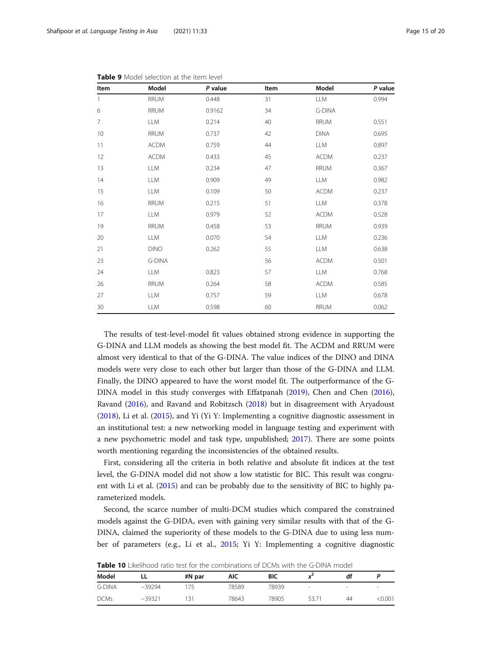| Item         | Model       | P value | Item | Model       | P value |
|--------------|-------------|---------|------|-------------|---------|
| $\mathbf{1}$ | <b>RRUM</b> | 0.448   | 31   | <b>LLM</b>  | 0.994   |
| 6            | <b>RRUM</b> | 0.9162  | 34   | G-DINA      |         |
| 7            | LLM         | 0.214   | 40   | RRUM        | 0.551   |
| 10           | <b>RRUM</b> | 0.737   | 42   | <b>DINA</b> | 0.695   |
| 11           | <b>ACDM</b> | 0.759   | 44   | <b>LLM</b>  | 0.897   |
| 12           | <b>ACDM</b> | 0.433   | 45   | <b>ACDM</b> | 0.237   |
| 13           | LLM         | 0.234   | 47   | <b>RRUM</b> | 0.367   |
| 14           | <b>LLM</b>  | 0.909   | 49   | <b>LLM</b>  | 0.982   |
| 15           | <b>LLM</b>  | 0.109   | 50   | <b>ACDM</b> | 0.237   |
| 16           | RRUM        | 0.215   | 51   | <b>LLM</b>  | 0.378   |
| 17           | LLM         | 0.979   | 52   | <b>ACDM</b> | 0.528   |
| 19           | RRUM        | 0.458   | 53   | <b>RRUM</b> | 0.939   |
| 20           | <b>LLM</b>  | 0.070   | 54   | <b>LLM</b>  | 0.236   |
| 21           | <b>DINO</b> | 0.262   | 55   | <b>LLM</b>  | 0.638   |
| 23           | G-DINA      |         | 56   | <b>ACDM</b> | 0.501   |
| 24           | <b>LLM</b>  | 0.823   | 57   | <b>LLM</b>  | 0.768   |
| 26           | RRUM        | 0.264   | 58   | <b>ACDM</b> | 0.585   |
| 27           | LLM         | 0.757   | 59   | <b>LLM</b>  | 0.678   |
| 30           | LLM         | 0.598   | 60   | <b>RRUM</b> | 0.062   |

<span id="page-14-0"></span>Table 9 Model selection at the item level

The results of test-level-model fit values obtained strong evidence in supporting the G-DINA and LLM models as showing the best model fit. The ACDM and RRUM were almost very identical to that of the G-DINA. The value indices of the DINO and DINA models were very close to each other but larger than those of the G-DINA and LLM. Finally, the DINO appeared to have the worst model fit. The outperformance of the G-DINA model in this study converges with Effatpanah ([2019\)](#page-17-0), Chen and Chen ([2016](#page-17-0)), Ravand [\(2016](#page-18-0)), and Ravand and Robitzsch ([2018](#page-19-0)) but in disagreement with Aryadoust ([2018](#page-17-0)), Li et al. ([2015](#page-18-0)), and Yi (Yi Y: Implementing a cognitive diagnostic assessment in an institutional test: a new networking model in language testing and experiment with a new psychometric model and task type, unpublished; [2017\)](#page-19-0). There are some points worth mentioning regarding the inconsistencies of the obtained results.

First, considering all the criteria in both relative and absolute fit indices at the test level, the G-DINA model did not show a low statistic for BIC. This result was congruent with Li et al. [\(2015](#page-18-0)) and can be probably due to the sensitivity of BIC to highly parameterized models.

Second, the scarce number of multi-DCM studies which compared the constrained models against the G-DIDA, even with gaining very similar results with that of the G-DINA, claimed the superiority of these models to the G-DINA due to using less number of parameters (e.g., Li et al., [2015;](#page-18-0) Yi Y: Implementing a cognitive diagnostic

**Table 10** Likelihood ratio test for the combinations of DCMs with the G-DINA model

| Model       |          | #N par | AIC   | <b>BIC</b> |        | df | D      |
|-------------|----------|--------|-------|------------|--------|----|--------|
| G-DINA      | $-39294$ | 75     | 78589 | 78939      | $\sim$ | -  | $\,$   |
| <b>DCMs</b> | $-39321$ | -31    | 78643 | 78905      | 53.71  | 44 | <0.001 |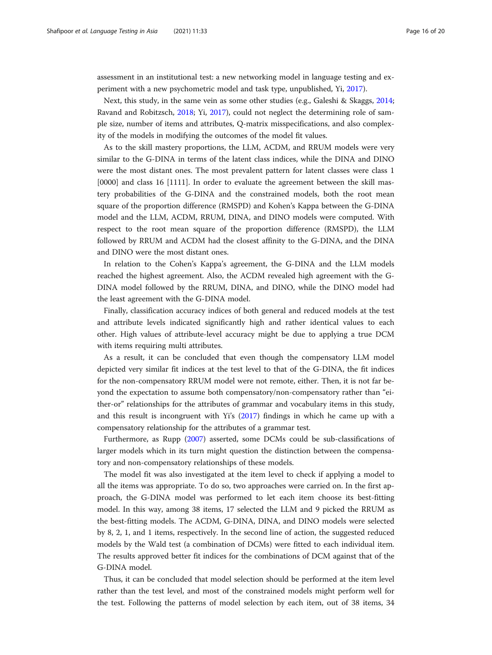assessment in an institutional test: a new networking model in language testing and experiment with a new psychometric model and task type, unpublished, Yi, [2017](#page-19-0)).

Next, this study, in the same vein as some other studies (e.g., Galeshi & Skaggs, [2014](#page-18-0); Ravand and Robitzsch, [2018](#page-19-0); Yi, [2017\)](#page-19-0), could not neglect the determining role of sample size, number of items and attributes, Q-matrix misspecifications, and also complexity of the models in modifying the outcomes of the model fit values.

As to the skill mastery proportions, the LLM, ACDM, and RRUM models were very similar to the G-DINA in terms of the latent class indices, while the DINA and DINO were the most distant ones. The most prevalent pattern for latent classes were class 1 [0000] and class 16 [1111]. In order to evaluate the agreement between the skill mastery probabilities of the G-DINA and the constrained models, both the root mean square of the proportion difference (RMSPD) and Kohen's Kappa between the G-DINA model and the LLM, ACDM, RRUM, DINA, and DINO models were computed. With respect to the root mean square of the proportion difference (RMSPD), the LLM followed by RRUM and ACDM had the closest affinity to the G-DINA, and the DINA and DINO were the most distant ones.

In relation to the Cohen's Kappa's agreement, the G-DINA and the LLM models reached the highest agreement. Also, the ACDM revealed high agreement with the G-DINA model followed by the RRUM, DINA, and DINO, while the DINO model had the least agreement with the G-DINA model.

Finally, classification accuracy indices of both general and reduced models at the test and attribute levels indicated significantly high and rather identical values to each other. High values of attribute-level accuracy might be due to applying a true DCM with items requiring multi attributes.

As a result, it can be concluded that even though the compensatory LLM model depicted very similar fit indices at the test level to that of the G-DINA, the fit indices for the non-compensatory RRUM model were not remote, either. Then, it is not far beyond the expectation to assume both compensatory/non-compensatory rather than "either-or" relationships for the attributes of grammar and vocabulary items in this study, and this result is incongruent with Yi's ([2017](#page-19-0)) findings in which he came up with a compensatory relationship for the attributes of a grammar test.

Furthermore, as Rupp [\(2007](#page-19-0)) asserted, some DCMs could be sub-classifications of larger models which in its turn might question the distinction between the compensatory and non-compensatory relationships of these models.

The model fit was also investigated at the item level to check if applying a model to all the items was appropriate. To do so, two approaches were carried on. In the first approach, the G-DINA model was performed to let each item choose its best-fitting model. In this way, among 38 items, 17 selected the LLM and 9 picked the RRUM as the best-fitting models. The ACDM, G-DINA, DINA, and DINO models were selected by 8, 2, 1, and 1 items, respectively. In the second line of action, the suggested reduced models by the Wald test (a combination of DCMs) were fitted to each individual item. The results approved better fit indices for the combinations of DCM against that of the G-DINA model.

Thus, it can be concluded that model selection should be performed at the item level rather than the test level, and most of the constrained models might perform well for the test. Following the patterns of model selection by each item, out of 38 items, 34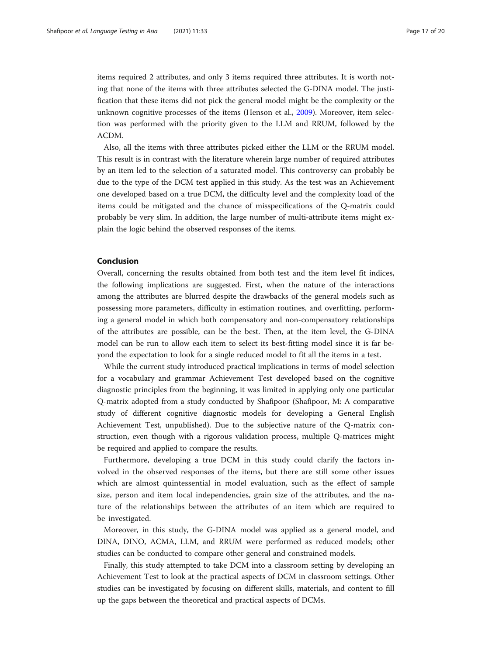items required 2 attributes, and only 3 items required three attributes. It is worth noting that none of the items with three attributes selected the G-DINA model. The justification that these items did not pick the general model might be the complexity or the unknown cognitive processes of the items (Henson et al., [2009](#page-18-0)). Moreover, item selection was performed with the priority given to the LLM and RRUM, followed by the ACDM.

Also, all the items with three attributes picked either the LLM or the RRUM model. This result is in contrast with the literature wherein large number of required attributes by an item led to the selection of a saturated model. This controversy can probably be due to the type of the DCM test applied in this study. As the test was an Achievement one developed based on a true DCM, the difficulty level and the complexity load of the items could be mitigated and the chance of misspecifications of the Q-matrix could probably be very slim. In addition, the large number of multi-attribute items might explain the logic behind the observed responses of the items.

# Conclusion

Overall, concerning the results obtained from both test and the item level fit indices, the following implications are suggested. First, when the nature of the interactions among the attributes are blurred despite the drawbacks of the general models such as possessing more parameters, difficulty in estimation routines, and overfitting, performing a general model in which both compensatory and non-compensatory relationships of the attributes are possible, can be the best. Then, at the item level, the G-DINA model can be run to allow each item to select its best-fitting model since it is far beyond the expectation to look for a single reduced model to fit all the items in a test.

While the current study introduced practical implications in terms of model selection for a vocabulary and grammar Achievement Test developed based on the cognitive diagnostic principles from the beginning, it was limited in applying only one particular Q-matrix adopted from a study conducted by Shafipoor (Shafipoor, M: A comparative study of different cognitive diagnostic models for developing a General English Achievement Test, unpublished). Due to the subjective nature of the Q-matrix construction, even though with a rigorous validation process, multiple Q-matrices might be required and applied to compare the results.

Furthermore, developing a true DCM in this study could clarify the factors involved in the observed responses of the items, but there are still some other issues which are almost quintessential in model evaluation, such as the effect of sample size, person and item local independencies, grain size of the attributes, and the nature of the relationships between the attributes of an item which are required to be investigated.

Moreover, in this study, the G-DINA model was applied as a general model, and DINA, DINO, ACMA, LLM, and RRUM were performed as reduced models; other studies can be conducted to compare other general and constrained models.

Finally, this study attempted to take DCM into a classroom setting by developing an Achievement Test to look at the practical aspects of DCM in classroom settings. Other studies can be investigated by focusing on different skills, materials, and content to fill up the gaps between the theoretical and practical aspects of DCMs.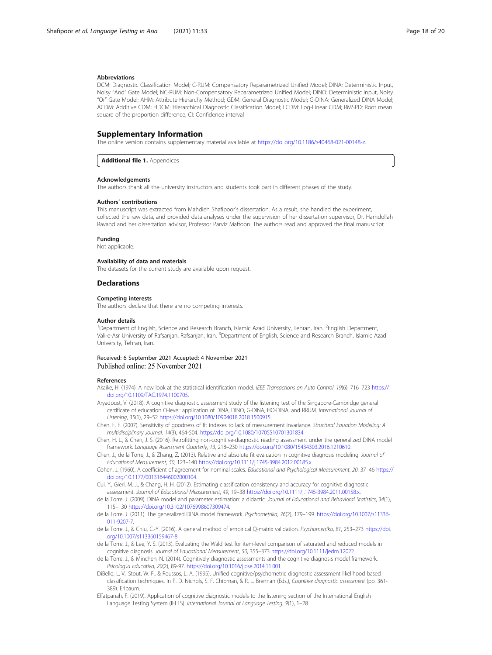## <span id="page-17-0"></span>Abbreviations

DCM: Diagnostic Classification Model; C-RUM: Compensatory Reparametrized Unified Model; DINA: Deterministic Input, Noisy "And" Gate Model; NC-RUM: Non-Compensatory Reparametrized Unified Model; DINO: Deterministic Input, Noisy "Or" Gate Model; AHM: Attribute Hierarchy Method; GDM: General Diagnostic Model; G-DINA: Generalized DINA Model; ACDM: Additive CDM; HDCM: Hierarchical Diagnostic Classification Model; LCDM: Log-Linear CDM; RMSPD: Root mean square of the proportion difference; CI: Confidence interval

# Supplementary Information

The online version contains supplementary material available at <https://doi.org/10.1186/s40468-021-00148-z>.

Additional file 1. Appendices

# Acknowledgements

The authors thank all the university instructors and students took part in different phases of the study.

#### Authors' contributions

This manuscript was extracted from Mahdieh Shafipoor's dissertation. As a result, she handled the experiment, collected the raw data, and provided data analyses under the supervision of her dissertation supervisor, Dr. Hamdollah Ravand and her dissertation advisor, Professor Parviz Maftoon. The authors read and approved the final manuscript.

#### Funding

Not applicable.

# Availability of data and materials

The datasets for the current study are available upon request.

# **Declarations**

## Competing interests

The authors declare that there are no competing interests.

#### Author details

<sup>1</sup>Department of English, Science and Research Branch, Islamic Azad University, Tehran, Iran. <sup>2</sup>English Department, Vali-e-Asr University of Rafsanjan, Rafsanjan, Iran. <sup>3</sup>Department of English, Science and Research Branch, Islamic Azad University, Tehran, Iran.

# Received: 6 September 2021 Accepted: 4 November 2021 Published online: 25 November 2021

# References

Akaike, H. (1974). A new look at the statistical identification model. IEEE Transactions on Auto Control, 19(6), 716–723 [https://](https://doi.org/10.1109/TAC.1974.1100705) [doi.org/10.1109/TAC.1974.1100705.](https://doi.org/10.1109/TAC.1974.1100705)

- Aryadoust, V. (2018). A cognitive diagnostic assessment study of the listening test of the Singapore-Cambridge general certificate of education O-level: application of DINA, DINO, G-DINA, HO-DINA, and RRUM. International Journal of Listening, 35(1), 29–52 [https://doi.org/10.1080/10904018.2018.1500915.](https://doi.org/10.1080/10904018.2018.1500915)
- Chen, F. F. (2007). Sensitivity of goodness of fit indexes to lack of measurement invariance. Structural Equation Modeling: A multidisciplinary Journal, 14(3), 464-504. <https://doi.org/10.1080/10705510701301834>
- Chen, H. L., & Chen, J. S. (2016). Retrofitting non-cognitive-diagnostic reading assessment under the generalized DINA model framework. Language Assessment Quarterly, 13, 218–230 <https://doi.org/10.1080/15434303.2016.1210610>.
- Chen, J., de la Torre, J., & Zhang, Z. (2013). Relative and absolute fit evaluation in cognitive diagnosis modeling. Journal of Educational Measurement, 50, 123–140 <https://doi.org/10.1111/j.1745-3984.2012.00185.x>.
- Cohen, J. (1960). A coefficient of agreement for nominal scales. Educational and Psychological Measurement, 20, 37–46 [https://](https://doi.org/10.1177/001316446002000104) [doi.org/10.1177/001316446002000104.](https://doi.org/10.1177/001316446002000104)
- Cui, Y., Gierl, M. J., & Chang, H. H. (2012). Estimating classification consistency and accuracy for cognitive diagnostic assessment. Journal of Educational Measurement, 49, 19–38 [https://doi.org/10.1111/j.1745-3984.2011.00158.x.](https://doi.org/10.1111/j.1745-3984.2011.00158.x)
- de la Torre, J. (2009). DINA model and parameter estimation: a didactic. Journal of Educational and Behavioral Statistics, 34(1), 115–130 [https://doi.org/10.3102/1076998607309474.](https://doi.org/10.3102/1076998607309474)
- de la Torre, J. (2011). The generalized DINA model framework. Psychometrika, 76(2), 179–199. [https://doi.org/10.1007/s11336-](https://doi.org/10.1007/s11336-011-9207-7) [011-9207-7](https://doi.org/10.1007/s11336-011-9207-7).
- de la Torre, J., & Chiu, C.-Y. (2016). A general method of empirical Q-matrix validation. Psychometrika, 81, 253–273 [https://doi.](https://doi.org/10.1007/s113360159467-8) [org/10.1007/s113360159467-8.](https://doi.org/10.1007/s113360159467-8)
- de la Torre, J., & Lee, Y. S. (2013). Evaluating the Wald test for item-level comparison of saturated and reduced models in cognitive diagnosis. Journal of Educational Measurement, 50, 355–373 [https://doi.org/10.1111/jedm.12022.](https://doi.org/10.1111/jedm.12022)
- de la Torre, J., & Minchen, N. (2014). Cognitively diagnostic assessments and the cognitive diagnosis model framework. Psicolog'ıa Educativa, 20(2), 89-97. <https://doi.org/10.1016/j.pse.2014.11.001>
- DiBello, L. V., Stout, W. F., & Roussos, L. A. (1995). Unified cognitive/psychometric diagnostic assessment likelihood based classification techniques. In P. D. Nichols, S. F. Chipman, & R. L. Brennan (Eds.), Cognitive diagnostic assessment (pp. 361- 389). Erlbaum.

Effatpanah, F. (2019). Application of cognitive diagnostic models to the listening section of the International English Language Testing System (IELTS). International Journal of Language Testing, 9(1), 1–28.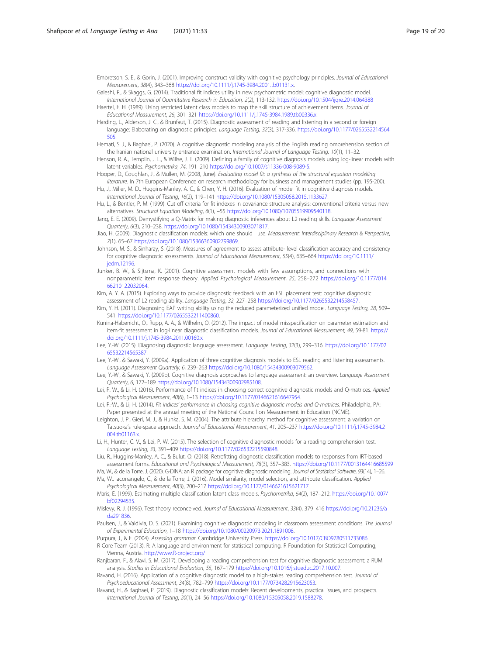<span id="page-18-0"></span>Embretson, S. E., & Gorin, J. (2001). Improving construct validity with cognitive psychology principles. Journal of Educational Measurement, 38(4), 343–368 [https://doi.org/10.1111/j.1745-3984.2001.tb01131.x.](https://doi.org/10.1111/j.1745-3984.2001.tb01131.x)

Galeshi, R., & Skaggs, G. (2014). Traditional fit indices utility in new psychometric model: cognitive diagnostic model. International Journal of Quantitative Research in Education, 2(2), 113-132. <https://doi.org/10.1504/ijqre.2014.064388>

Haertel, E. H. (1989). Using restricted latent class models to map the skill structure of achievement items. Journal of Educational Measurement, 26, 301–321 <https://doi.org/10.1111/j.1745-3984.1989.tb00336.x>.

- Harding, L., Alderson, J. C., & Brunfaut, T. (2015). Diagnostic assessment of reading and listening in a second or foreign language: Elaborating on diagnostic principles. Language Testing, 32(3), 317-336. [https://doi.org/10.1177/0265532214564](https://doi.org/10.1177/0265532214564505) [505.](https://doi.org/10.1177/0265532214564505)
- Hemati, S. J., & Baghaei, P. (2020). A cognitive diagnostic modeling analysis of the English reading omprehension section of the Iranian national university entrance examination. International Journal of Language Testing, 10(1), 11-32.

Henson, R. A., Templin, J. L., & Willse, J. T. (2009). Defining a family of cognitive diagnosis models using log-linear models with latent variables. Psychometrika, 74, 191–210 [https://doi.org/10.1007/s11336-008-9089-5.](https://doi.org/10.1007/s11336-008-9089-5)

- Hooper, D., Coughlan, J., & Mullen, M. (2008, June). Evaluating model fit: a synthesis of the structural equation modelling literature. In 7th European Conference on research methodology for business and management studies (pp. 195-200).
- Hu, J., Miller, M. D., Huggins-Manley, A. C., & Chen, Y. H. (2016). Evaluation of model fit in cognitive diagnosis models. International Journal of Testing, 16(2), 119–141 [https://doi.org/10.1080/15305058.2015.1133627.](https://doi.org/10.1080/15305058.2015.1133627)
- Hu, L., & Bentler, P. M. (1999). Cut off criteria for fit indexes in covariance structure analysis: conventional criteria versus new alternatives. Structural Equation Modeling, 6(1), –55 <https://doi.org/10.1080/10705519909540118>.
- Jang, E. E. (2009). Demystifying a Q-Matrix for making diagnostic inferences about L2 reading skills. Language Assessment Quarterly, 6(3), 210–238. <https://doi.org/10.1080/15434300903071817>.
- Jiao, H. (2009). Diagnostic classification models: which one should I use. Measurement: Interdisciplinary Research & Perspective, 7(1), 65–67 [https://doi.org/10.1080/15366360902799869.](https://doi.org/10.1080/15366360902799869)
- Johnson, M. S., & Sinharay, S. (2018). Measures of agreement to assess attribute- level classification accuracy and consistency for cognitive diagnostic assessments. Journal of Educational Measurement, 55(4), 635–664 [https://doi.org/10.1111/](https://doi.org/10.1111/jedm.12196) [jedm.12196](https://doi.org/10.1111/jedm.12196).
- Junker, B. W., & Sijtsma, K. (2001). Cognitive assessment models with few assumptions, and connections with nonparametric item response theory. Applied Psychological Measurement, 25, 258–272 [https://doi.org/10.1177/014](https://doi.org/10.1177/01466210122032064) [66210122032064.](https://doi.org/10.1177/01466210122032064)
- Kim, A. Y. A. (2015). Exploring ways to provide diagnostic feedback with an ESL placement test: cognitive diagnostic assessment of L2 reading ability. Language Testing, 32, 227–258 <https://doi.org/10.1177/0265532214558457>.
- Kim, Y. H. (2011). Diagnosing EAP writing ability using the reduced parameterized unified model. Language Testing, 28, 509-541. <https://doi.org/10.1177/0265532211400860>.
- Kunina-Habenicht, O., Rupp, A. A., & Wilhelm, O. (2012). The impact of model misspecification on parameter estimation and item-fit assessment in log-linear diagnostic classification models. Journal of Educational Measurement, 49, 59-81. [https://](https://doi.org/10.1111/j.1745-3984.2011.00160.x) [doi.org/10.1111/j.1745-3984.2011.00160.x](https://doi.org/10.1111/j.1745-3984.2011.00160.x)
- Lee, Y.-W. (2015). Diagnosing diagnostic language assessment. Language Testing, 32(3), 299–316. [https://doi.org/10.1177/02](https://doi.org/10.1177/0265532214565387) [65532214565387](https://doi.org/10.1177/0265532214565387).
- Lee, Y.-W., & Sawaki, Y. (2009a). Application of three cognitive diagnosis models to ESL reading and listening assessments. Language Assessment Quarterly, 6, 239–263 <https://doi.org/10.1080/15434300903079562>.
- Lee, Y.-W., & Sawaki, Y. (2009b). Cognitive diagnosis approaches to language assessment: an overview. Language Assessment Quarterly, 6, 172–189 [https://doi.org/10.1080/15434300902985108.](https://doi.org/10.1080/15434300902985108)
- Lei, P. W., & Li, H. (2016). Performance of fit indices in choosing correct cognitive diagnostic models and Q-matrices. Applied Psychological Measurement, 40(6), 1-13 https://doi.org/10.1177/014662161664795
- Lei, P.-W., & Li, H. (2014). Fit indices' performance in choosing cognitive diagnostic models and Q-matrices. Philadelphia, PA: Paper presented at the annual meeting of the National Council on Measurement in Education (NCME).
- Leighton, J. P., Gierl, M. J., & Hunka, S. M. (2004). The attribute hierarchy method for cognitive assessment: a variation on Tatsuoka's rule-space approach. Journal of Educational Measurement, 41, 205–237 [https://doi.org/10.1111/j.1745-3984.2](https://doi.org/10.1111/j.1745-3984.2004.tb01163.x) [004.tb01163.x](https://doi.org/10.1111/j.1745-3984.2004.tb01163.x)
- Li, H., Hunter, C. V., & Lei, P. W. (2015). The selection of cognitive diagnostic models for a reading comprehension test. Language Testing, 33, 391–409 <https://doi.org/10.1177/026532215590848>.
- Liu, R., Huggins-Manley, A. C., & Bulut, O. (2018). Retrofitting diagnostic classification models to responses from IRT-based assessment forms. Educational and Psychological Measurement, 78(3), 357–383. <https://doi.org/10.1177/0013164416685599>
- Ma, W., & de la Torre, J. (2020). G-DINA: an R package for cognitive diagnostic modeling. Journal of Statistical Software, 93(14), 1–26. Ma, W., Iaconangelo, C., & de la Torre, J. (2016). Model similarity, model selection, and attribute classification. Applied
- Psychological Measurement, 40(3), 200–217 [https://doi.org/10.1177/0146621615621717.](https://doi.org/10.1177/0146621615621717)
- Maris, E. (1999). Estimating multiple classification latent class models. Psychometrika, 64(2), 187–212. [https://doi.org/10.1007/](https://doi.org/10.1007/bf02294535) [bf02294535.](https://doi.org/10.1007/bf02294535)
- Mislevy, R. J. (1996). Test theory reconceived. Journal of Educational Measurement, 33(4), 379–416 [https://doi.org/10.21236/a](https://doi.org/10.21236/ada291836) [da291836](https://doi.org/10.21236/ada291836).
- Paulsen, J., & Valdivia, D. S. (2021). Examining cognitive diagnostic modeling in classroom assessment conditions. The Journal of Experimental Education, 1–18 <https://doi.org/10.1080/00220973.2021.1891008>.
- Purpura, J., & E. (2004). Assessing grammar. Cambridge University Press. <https://doi.org/10.1017/CBO9780511733086>. R Core Team (2013). R: A language and environment for statistical computing. R Foundation for Statistical Computing,
- Vienna, Austria. [http://www.R-project.org/](http://www.r-project.org/) Ranjbaran, F., & Alavi, S. M. (2017). Developing a reading comprehension test for cognitive diagnostic assessment: a RUM
- analysis. Studies in Educational Evaluation, 55, 167–179 <https://doi.org/10.1016/j.stueduc.2017.10.007>.
- Ravand, H. (2016). Application of a cognitive diagnostic model to a high-stakes reading comprehension test. Journal of Psychoeducational Assessment, 34(8), 782–799 [https://doi.org/10.1177/0734282915623053.](https://doi.org/10.1177/0734282915623053)
- Ravand, H., & Baghaei, P. (2019). Diagnostic classification models: Recent developments, practical issues, and prospects. International Journal of Testing, 20(1), 24–56 [https://doi.org/10.1080/15305058.2019.1588278.](https://doi.org/10.1080/15305058.2019.1588278)